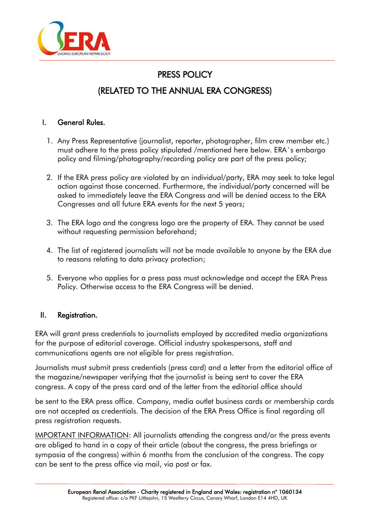

# PRESS POLICY (RELATED TO THE ANNUAL ERA CONGRESS)

# I. General Rules.

- 1. Any Press Representative (journalist, reporter, photographer, film crew member etc.) must adhere to the press policy stipulated /mentioned here below. ERA´s embargo policy and filming/photography/recording policy are part of the press policy;
- 2. If the ERA press policy are violated by an individual/party, ERA may seek to take legal action against those concerned. Furthermore, the individual/party concerned will be asked to immediately leave the ERA Congress and will be denied access to the ERA Congresses and all future ERA events for the next 5 years;
- 3. The ERA logo and the congress logo are the property of ERA. They cannot be used without requesting permission beforehand;
- 4. The list of registered journalists will not be made available to anyone by the ERA due to reasons relating to data privacy protection;
- 5. Everyone who applies for a press pass must acknowledge and accept the ERA Press Policy. Otherwise access to the ERA Congress will be denied.

### II. Registration.

ERA will grant press credentials to journalists employed by accredited media organizations for the purpose of editorial coverage. Official industry spokespersons, staff and communications agents are not eligible for press registration.

Journalists must submit press credentials (press card) and a letter from the editorial office of the magazine/newspaper verifying that the journalist is being sent to cover the ERA congress. A copy of the press card and of the letter from the editorial office should

be sent to the ERA press office. Company, media outlet business cards or membership cards are not accepted as credentials. The decision of the ERA Press Office is final regarding all press registration requests.

IMPORTANT INFORMATION: All journalists attending the congress and/or the press events are obliged to hand in a copy of their article (about the congress, the press briefings or symposia of the congress) within 6 months from the conclusion of the congress. The copy can be sent to the press office via mail, via post or fax.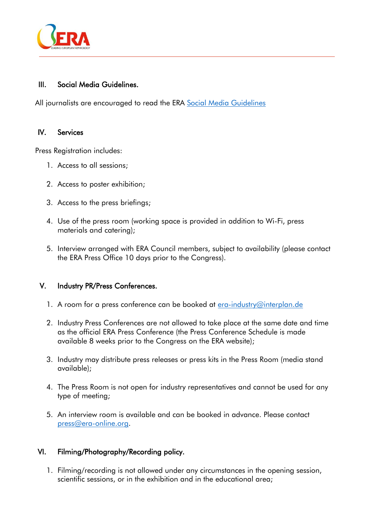

## III. Social Media Guidelines.

All journalists are encouraged to read the ERA [Social Media Guidelines](https://www.era-edta.org/en/wp-content/uploads/2021/09/SOCIAL-MEDIA-GUIDELINES_NEW.pdf)

### IV. Services

Press Registration includes:

- 1. Access to all sessions;
- 2. Access to poster exhibition;
- 3. Access to the press briefings;
- 4. Use of the press room (working space is provided in addition to Wi-Fi, press materials and catering);
- 5. Interview arranged with ERA Council members, subject to availability (please contact the ERA Press Office 10 days prior to the Congress).

#### V. Industry PR/Press Conferences.

- 1. A room for a press conference can be booked at [era-industry@interplan.de](mailto:era-industry@interplan.de)
- 2. Industry Press Conferences are not allowed to take place at the same date and time as the official ERA Press Conference (the Press Conference Schedule is made available 8 weeks prior to the Congress on the ERA website);
- 3. Industry may distribute press releases or press kits in the Press Room (media stand available);
- 4. The Press Room is not open for industry representatives and cannot be used for any type of meeting;
- 5. An interview room is available and can be booked in advance. Please contact [press@era-online.org.](mailto:press@era-online.org)

### VI. Filming/Photography/Recording policy.

1. Filming/recording is not allowed under any circumstances in the opening session, scientific sessions, or in the exhibition and in the educational area;